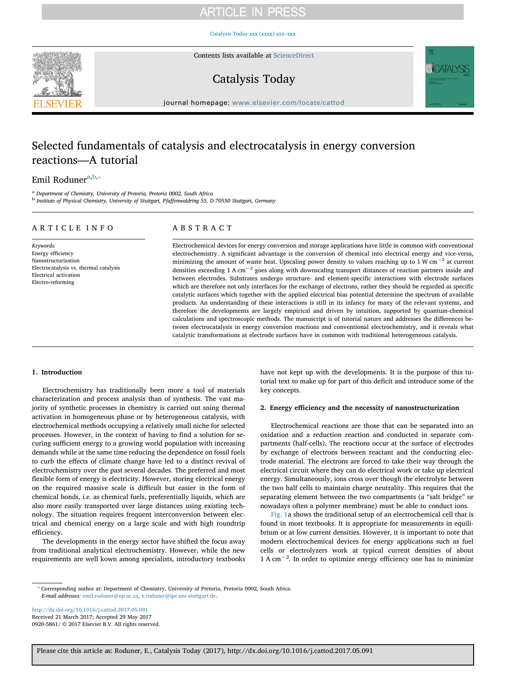## **ARTICLE IN PRESS**

#### [Catalysis Today xxx \(xxxx\) xxx–xxx](http://dx.doi.org/10.1016/j.cattod.2017.05.091)



Contents lists available at [ScienceDirect](http://www.sciencedirect.com/science/journal/09205861)

## Catalysis Today



journal homepage: [www.elsevier.com/locate/cattod](http://www.elsevier.com/locate/cattod)

## Selected fundamentals of catalysis and electrocatalysis in energy conversion reactions—A tutorial

### Emil Roduner<sup>[a](#page-0-0),[b](#page-0-1),\*</sup>

<span id="page-0-1"></span><span id="page-0-0"></span>Department of Chemistry, University of Pretoria, Pretoria 0002, South Africa <sup>b</sup> Institute of Physical Chemistry, University of Stuttgart, Pfaffenwaldring 55, D-70550 Stuttgart, Germany

#### ARTICLE INFO

Keywords: Energy efficiency Nanostructurization Electrocatalysis vs. thermal catalysis Electrical activation Electro-reforming

#### ABSTRACT

Electrochemical devices for energy conversion and storage applications have little in common with conventional electrochemistry. A significant advantage is the conversion of chemical into electrical energy and vice-versa, minimizing the amount of waste heat. Upscaling power density to values reaching up to 1 W  $cm^{-2}$  at current densities exceeding 1 A cm−<sup>2</sup> goes along with downscaling transport distances of reaction partners inside and between electrodes. Substrates undergo structure- and element-specific interactions with electrode surfaces which are therefore not only interfaces for the exchange of electrons, rather they should be regarded as specific catalytic surfaces which together with the applied electrical bias potential determine the spectrum of available products. An understanding of these interactions is still in its infancy for many of the relevant systems, and therefore the developments are largely empirical and driven by intuition, supported by quantum-chemical calculations and spectroscopic methods. The manuscript is of tutorial nature and addresses the differences between electrocatalysis in energy conversion reactions and conventional electrochemistry, and it reveals what catalytic transformations at electrode surfaces have in common with traditional heterogeneous catalysis.

#### 1. Introduction

Electrochemistry has traditionally been more a tool of materials characterization and process analysis than of synthesis. The vast majority of synthetic processes in chemistry is carried out using thermal activation in homogeneous phase or by heterogeneous catalysis, with electrochemical methods occupying a relatively small niche for selected processes. However, in the context of having to find a solution for securing sufficient energy to a growing world population with increasing demands while at the same time reducing the dependence on fossil fuels to curb the effects of climate change have led to a distinct revival of electrochemistry over the past several decades. The preferred and most flexible form of energy is electricity. However, storing electrical energy on the required massive scale is difficult but easier in the form of chemical bonds, i.e. as chemical fuels, preferentially liquids, which are also more easily transported over large distances using existing technology. The situation requires frequent interconversion between electrical and chemical energy on a large scale and with high roundtrip efficiency.

The developments in the energy sector have shifted the focus away from traditional analytical electrochemistry. However, while the new requirements are well kown among specialists, introductory textbooks have not kept up with the developments. It is the purpose of this tutorial text to make up for part of this deficit and introduce some of the key concepts.

#### 2. Energy efficiency and the necessity of nanostructurization

Electrochemical reactions are those that can be separated into an oxidation and a reduction reaction and conducted in separate compartments (half-cells). The reactions occur at the surface of electrodes by exchange of electrons between reactant and the conducting electrode material. The electrons are forced to take their way through the electrical circuit where they can do electrical work or take up electrical energy. Simultaneously, ions cross over though the electrolyte between the two half cells to maintain charge neutrality. This requires that the separating element between the two compartments (a "salt bridge" or nowadays often a polymer membrane) must be able to conduct ions.

[Fig. 1a](#page-1-0) shows the traditional setup of an electrochemical cell that is found in most textbooks. It is appropriate for measurements in equilibrium or at low current densities. However, it is important to note that modern electrochemical devices for energy applications such as fuel cells or electrolyzers work at typical current densities of about 1 A cm−<sup>2</sup> . In order to optimize energy efficiency one has to minimize

<http://dx.doi.org/10.1016/j.cattod.2017.05.091> Received 21 March 2017; Accepted 29 May 2017 0920-5861/ © 2017 Elsevier B.V. All rights reserved.

<span id="page-0-2"></span><sup>⁎</sup> Corresponding author at: Department of Chemistry, University of Pretoria, Pretoria 0002, South Africa. E-mail addresses: [emil.roduner@up.ac.za,](mailto:emil.roduner@up.ac.za) [e.roduner@ipc.uni-stuttgart.de](mailto:e.roduner@ipc.uni-stuttgart.de).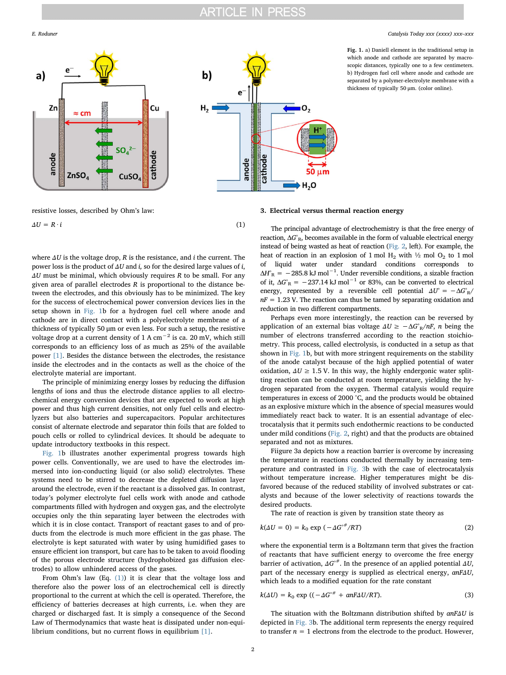## <span id="page-1-0"></span>a) Zn Cu  $\approx$  cm  $SO_4^2$ cathode anode ZnSO, CuSO



#### E. Roduner *Catalysis Today xxx (xxxx) xxx–xxx*

Fig. 1. a) Daniell element in the traditional setup in which anode and cathode are separated by macroscopic distances, typically one to a few centimeters. b) Hydrogen fuel cell where anode and cathode are separated by a polymer-electrolyte membrane with a thickness of typically 50 μm. (color online).

resistive losses, described by Ohm's law:

<span id="page-1-1"></span>
$$
\Delta U = R \cdot i \tag{1}
$$

where  $\Delta U$  is the voltage drop, R is the resistance, and i the current. The power loss is the product of  $\Delta U$  and i, so for the desired large values of i,  $\Delta U$  must be minimal, which obviously requires R to be small. For any given area of parallel electrodes R is proportional to the distance between the electrodes, and this obviously has to be minimized. The key for the success of electrochemical power conversion devices lies in the setup shown in [Fig. 1b](#page-1-0) for a hydrogen fuel cell where anode and cathode are in direct contact with a polyelectrolyte membrane of a thickness of typically 50 μm or even less. For such a setup, the resistive voltage drop at a current density of 1 A cm<sup>-2</sup> is ca. 20 mV, which still corresponds to an efficiency loss of as much as 25% of the available power [\[1\].](#page--1-0) Besides the distance between the electrodes, the resistance inside the electrodes and in the contacts as well as the choice of the electrolyte material are important.

The principle of minimizing energy losses by reducing the diffusion lengths of ions and thus the electrode distance applies to all electrochemical energy conversion devices that are expected to work at high power and thus high current densities, not only fuel cells and electrolyzers but also batteries and supercapacitors. Popular architectures consist of alternate electrode and separator thin foils that are folded to pouch cells or rolled to cylindrical devices. It should be adequate to update introductory textbooks in this respect.

[Fig. 1b](#page-1-0) illustrates another experimental progress towards high power cells. Conventionally, we are used to have the electrodes immersed into ion-conducting liquid (or also solid) electrolytes. These systems need to be stirred to decrease the depleted diffusion layer around the electrode, even if the reactant is a dissolved gas. In contrast, today's polymer electrolyte fuel cells work with anode and cathode compartments filled with hydrogen and oxygen gas, and the electrolyte occupies only the thin separating layer between the electrodes with which it is in close contact. Transport of reactant gases to and of products from the electrode is much more efficient in the gas phase. The electrolyte is kept saturated with water by using humidified gases to ensure efficient ion transport, but care has to be taken to avoid flooding of the porous electrode structure (hydrophobized gas diffusion electrodes) to allow unhindered access of the gases.

From Ohm's law (Eq.  $(1)$ ) it is clear that the voltage loss and therefore also the power loss of an electrochemical cell is directly proportional to the current at which the cell is operated. Therefore, the efficiency of batteries decreases at high currents, i.e. when they are charged or discharged fast. It is simply a consequence of the Second Law of Thermodynamics that waste heat is dissipated under non-equilibrium conditions, but no current flows in equilibrium [\[1\]](#page--1-0).

#### 3. Electrical versus thermal reaction energy

The principal advantage of electrochemistry is that the free energy of reaction,  $\Delta G^{\circ}$ <sub>R</sub>, becomes available in the form of valuable electrical energy instead of being wasted as heat of reaction [\(Fig. 2](#page--1-1), left). For example, the heat of reaction in an explosion of 1 mol  $H_2$  with  $\frac{1}{2}$  mol  $O_2$  to 1 mol of liquid water under standard conditions corresponds to  $\Delta H_{\rm R}^{\circ}$  = -285.8 kJ mol<sup>-1</sup>. Under reversible conditions, a sizable fraction of it,  $\Delta G^{\circ}_{R} = -237.14 \text{ kJ mol}^{-1}$  or 83%, can be converted to electrical energy, represented by a reversible cell potential  $\Delta U^{\circ} = -\Delta G^{\circ}_{R}/$  $nF = 1.23$  V. The reaction can thus be tamed by separating oxidation and reduction in two different compartments.

Perhaps even more interestingly, the reaction can be reversed by application of an external bias voltage  $\Delta U \ge -\Delta G^{\circ}R/nF$ , *n* being the number of electrons transferred according to the reaction stoichiometry. This process, called electrolysis, is conducted in a setup as that shown in [Fig. 1b](#page-1-0), but with more stringent requirements on the stability of the anode catalyst because of the high applied potential of water oxidation,  $\Delta U \geq 1.5$  V. In this way, the highly endergonic water splitting reaction can be conducted at room temperature, yielding the hydrogen separated from the oxygen. Thermal catalysis would require temperatures in excess of 2000 °C, and the products would be obtained as an explosive mixture which in the absence of special measures would immediately react back to water. It is an essential advantage of electrocatalysis that it permits such endothermic reactions to be conducted under mild conditions [\(Fig. 2](#page--1-1), right) and that the products are obtained separated and not as mixtures.

Fiigure 3a depicts how a reaction barrier is overcome by increasing the temperature in reactions conducted thermally by increasing temperature and contrasted in [Fig. 3b](#page--1-2) with the case of electrocatalysis without temperature increase. Higher temperatures might be disfavored because of the reduced stability of involved substrates or catalysts and because of the lower selectivity of reactions towards the desired products.

The rate of reaction is given by transition state theory as

$$
k(\Delta U = 0) = k_0 \exp\left(-\Delta G^{\circ \#}/RT\right) \tag{2}
$$

where the exponential term is a Boltzmann term that gives the fraction of reactants that have sufficient energy to overcome the free energy barrier of activation,  $\Delta G^{\circ \#}$ . In the presence of an applied potential  $\Delta U$ , part of the necessary energy is supplied as electrical energy, αnFΔU, which leads to a modified equation for the rate constant

$$
k(\Delta U) = k_0 \exp \left( \left( -\Delta G^{\circ \#} + \alpha n F \Delta U / RT \right) \right). \tag{3}
$$

The situation with the Boltzmann distribution shifted by αnFΔU is depicted in [Fig. 3](#page--1-2)b. The additional term represents the energy required to transfer  $n = 1$  electrons from the electrode to the product. However,